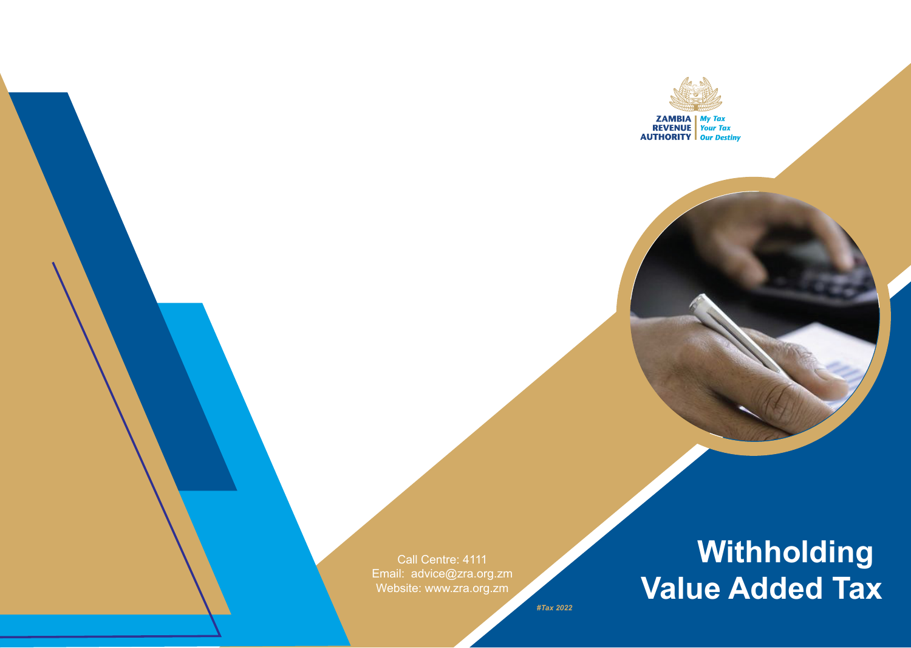

Call Centre: 4111 Email: advice@zra.org.zm Website: www.zra.org.zm

# **Withholding Value Added Tax**

*#Tax 2022*